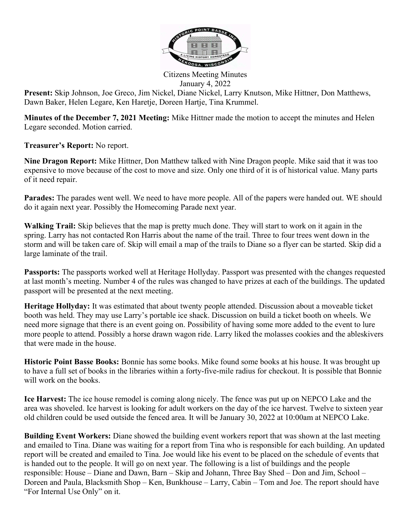

Citizens Meeting Minutes January 4, 2022

Present: Skip Johnson, Joe Greco, Jim Nickel, Diane Nickel, Larry Knutson, Mike Hittner, Don Matthews, Dawn Baker, Helen Legare, Ken Haretje, Doreen Hartje, Tina Krummel.

Minutes of the December 7, 2021 Meeting: Mike Hittner made the motion to accept the minutes and Helen Legare seconded. Motion carried.

Treasurer's Report: No report.

Nine Dragon Report: Mike Hittner, Don Matthew talked with Nine Dragon people. Mike said that it was too expensive to move because of the cost to move and size. Only one third of it is of historical value. Many parts of it need repair.

Parades: The parades went well. We need to have more people. All of the papers were handed out. WE should do it again next year. Possibly the Homecoming Parade next year.

Walking Trail: Skip believes that the map is pretty much done. They will start to work on it again in the spring. Larry has not contacted Ron Harris about the name of the trail. Three to four trees went down in the storm and will be taken care of. Skip will email a map of the trails to Diane so a flyer can be started. Skip did a large laminate of the trail.

Passports: The passports worked well at Heritage Hollyday. Passport was presented with the changes requested at last month's meeting. Number 4 of the rules was changed to have prizes at each of the buildings. The updated passport will be presented at the next meeting.

Heritage Hollyday: It was estimated that about twenty people attended. Discussion about a moveable ticket booth was held. They may use Larry's portable ice shack. Discussion on build a ticket booth on wheels. We need more signage that there is an event going on. Possibility of having some more added to the event to lure more people to attend. Possibly a horse drawn wagon ride. Larry liked the molasses cookies and the ableskivers that were made in the house.

Historic Point Basse Books: Bonnie has some books. Mike found some books at his house. It was brought up to have a full set of books in the libraries within a forty-five-mile radius for checkout. It is possible that Bonnie will work on the books.

Ice Harvest: The ice house remodel is coming along nicely. The fence was put up on NEPCO Lake and the area was shoveled. Ice harvest is looking for adult workers on the day of the ice harvest. Twelve to sixteen year old children could be used outside the fenced area. It will be January 30, 2022 at 10:00am at NEPCO Lake.

**Building Event Workers:** Diane showed the building event workers report that was shown at the last meeting and emailed to Tina. Diane was waiting for a report from Tina who is responsible for each building. An updated report will be created and emailed to Tina. Joe would like his event to be placed on the schedule of events that is handed out to the people. It will go on next year. The following is a list of buildings and the people responsible: House – Diane and Dawn, Barn – Skip and Johann, Three Bay Shed – Don and Jim, School – Doreen and Paula, Blacksmith Shop – Ken, Bunkhouse – Larry, Cabin – Tom and Joe. The report should have "For Internal Use Only" on it.